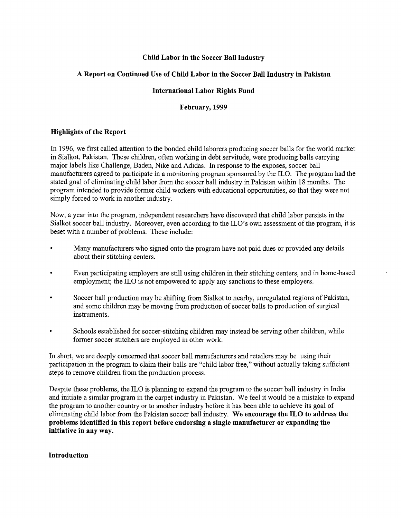# Child Labor in the Soccer Ball Industry

# A Report on Continued Use of Child Labor in the Soccer Ball Industry in Pakistan

## International Labor Rights Fund

## February, 1999

## Highlights of the Report

In 1996, we first called attention to the bonded child laborers producing soccer balls for the world market in Sialkot, Pakistan. These children, often working in debt servitude, were producing balls carrying major labels like Challenge, Baden, Nike and Adidas. In response to the exposes, soccer ball manufacturers agreed to participate in a monitoring program sponsored by the ILO. The program had the stated goal of eliminating child labor from the soccer ball industry in Pakistan within 18 months. The program intended to provide former child workers with educational opportunities, so that they were not simply forced to work in another industry.

Now, a year into the program, independent researchers have discovered that child labor persists in the Sialkot soccer ball industry. Moreover, even according to the ILO's own assessment of the program, it is beset with a number of problems. These include:

- Many manufacturers who signed onto the program have not paid dues or provided any details about their stitching centers.
- Even participating employers are still using children in their stitching centers, and in home-based employment; the ILO is not empowered to apply any sanctions to these employers.
- Soccer ball production may be shifting from Sialkot to nearby, unregulated regions of Pakistan, and some children may be moving from production of soccer balls to production of surgical instruments.
- Schools established for soccer-stitching children may instead be serving other children, while former soccer stitchers are employed in other work.

In short, we are deeply concerned that soccer ball manufacturers and retailers may be using their participation in the program to claim their balls are "child labor free," without actually taking sufficient steps to remove children from the production process.

Despite these problems, the ILO is planning to expand the program to the soccer ball industry in India and initiate a similar program in the carpet industry in Pakistan. We feel it would be a mistake to expand the program to another country or to another industry before it has been able to achieve its goal of eliminating child labor from the Pakistan soccer ball industry. We encourage the ILO to address the problems identified in this report before endorsing a single manufacturer or expanding the initiative in any way.

## Introduction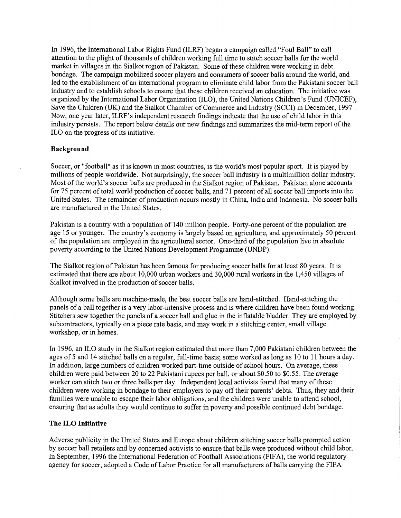In 1996, the International Labor Rights Fund (ILRF) began a campaign called "Foul Ball" to call attention to the plight of thousands of children working full time to stitch soccer balls for the world market in villages in the Sialkot region of Pakistan. Some of these children were working in debt bondage. The campaign mobilized soccer players and consumers of soccer balls around the world, and led to the establishment of an international program to eliminate child labor from the Pakistani soccer ball industry and to establish schools to ensure that these children received an education. The initiative was organized by the International Labor Organization (ILO), the United Nations Children's Fund (UNICEF), Save the Children (UK) and the Sialkot Chamber of Commerce and Industry (SCCI) in December, 1997 . Now, one year later, ILRF's independent research findings indicate that the use of child labor in this industry persists. The report below details our new findings and summarizes the mid-term report of the ILO on the progress of its initiative.

#### **Background**

Soccer, or "football" as it is known in most countries, is the world's most popular sport. It is played by millions of people worldwide. Not surprisingly, the soccer ball industry is a multimillion dollar industry. Most of the world's soccer balls are produced in the Sialkot region of Pakistan. Pakistan alone accounts for 75 percent of total world production of soccer balls, and 71 percent of all soccer ball imports into the United States. The remainder of production occurs mostly in China, India and Indonesia. No soccer balls are manufactured in the United States.

Pakistan is a country with a population of 140 million people. Forty-one percent of the population are age 15 or younger. The country's economy is largely based on agriculture, and approximately 50 percent of the population are employed in the agricultural sector. One-third of the population live in absolute poverty according to the United Nations Development Programme (UNDP).

The Sialkot region of Pakistan has been famous for producing soccer balls for at least 80 years. It is estimated that there are about 10,000 urban workers and 30,000 rural workers in the 1,450 villages of Sialkot involved in the production of soccer balls.

Although some balls are machine-made, the best soccer balls are hand-stitched. Hand-stitching the panels of a ball together is a very labor-intensive process and is where children have been found working. Stitchers sew together the panels of a soccer ball and glue in the inflatable bladder. They are employed by subcontractors, typically on a piece rate basis, and may work in a stitching center, small village workshop, or in homes.

In 1996, an ILO study in the Sialkot region estimated that more than 7,000 Pakistani children between the ages of 5 and 14 stitched balls on a regular, full-time basis; some worked as long as 10 to 11 hours a day. In addition, large numbers of children worked part-time outside of school hours. On average, these children were paid between 20 to 22 Pakistani rupees per ball, or about \$0.50 to \$0.55. The average worker can stitch two or three balls per day. Independent local activists found that many of these children were working in bondage to their employers to pay off their parents' debts. Thus, they and their families were unable to escape their labor obligations, and the children were unable to attend school, ensuring that as adults they would continue to suffer in poverty and possible continued debt bondage.

#### **The ILO Initiative**

Adverse publicity in the United States and Europe about children stitching soccer balls prompted action by soccer ball retailers and by concerned activists to ensure that balls were produced without child labor. In September, 1996 the International Federation of Football Associations (FIFA), the world regulatory agency for soccer, adopted a Code of Labor Practice for all manufacturers of balls carrying the FIFA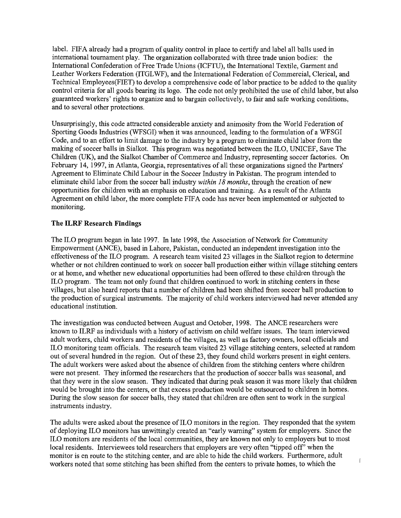label. FIFA already had a program of quality control in place to certify and label all balls used in international tournament play. The organization collaborated with three trade union bodies: the International Confederation of Free Trade Unions (ICFTU), the International Textile, Garment and Leather Workers Federation (ITGLWF), and the International Federation of Commercial, Clerical, and Technical Employees(FIET) to develop a comprehensive code of labor practice to be added to the quality control criteria for all goods bearing its logo. The code not only prohibited the use of child labor, but also guaranteed workers' rights to organize and to bargain collectively, to fair and safe working conditions, and to several other protections.

Unsurprisingly, this code attracted considerable anxiety and animosity from the World Federation of Sporting Goods Industries (WFSGI) when it was announced, leading to the formulation of a WFSGI Code, and to an effort to limit damage to the industry by a program to eliminate child labor from the making of soccer balls in Sialkot. This program was negotiated between the ILO, UNICEF, Save The Children (UK), and the Sialkot Chamber of Commerce and Industry, representing soccer factories. On February 14, 1997, in Atlanta, Georgia, representatives of all these organizations signed the Partners' Agreement to Eliminate Child Labour in the Soccer Industry in Pakistan. The program intended to eliminate child labor from the soccer ball industry *within 18 months*, through the creation of new opportunities for children with an emphasis on education and training. As a result of the Atlanta Agreement on child labor, the more complete FIFA code has never been implemented or subjected to monitoring.

## **The ILRF Research Findings**

The ILO program began in late 1997. In late 1998, the Association of Network for Community Empowerment (ANCE), based in Lahore, Pakistan, conducted an independent investigation into the effectiveness of the ILO program. A research team visited 23 villages in the Sialkot region to determine whether or not children continued to work on soccer ball production either within village stitching centers or at home, and whether new educational opportunities had been offered to these children through the ILO program. The team not only found that children continued to work in stitching centers in these villages, but also heard reports that a number of children had been shifted from soccer ball production to the production of surgical instruments. The majority of child workers interviewed had never attended any educational institution.

The investigation was conducted between August and October, 1998. The ANCE researchers were known to ILRF as individuals with a history of activism on child welfare issues. The team interviewed adult workers, child workers and residents of the villages, as well as factory owners, local officials and ILO monitoring team officials. The research team visited 23 village stitching centers, selected at random out of several hundred in the region. Out of these 23, they found child workers present in eight centers. The adult workers were asked about the absence of children from the stitching centers where children were not present. They informed the researchers that the production of soccer balls was seasonal, and that they were in the slow season. They indicated that during peak season it was more likely that children would be brought into the centers, or that excess production would be outsourced to children in homes. During the slow season for soccer balls, they stated that children are often sent to work in the surgical instruments industry.

The adults were asked about the presence of ILO monitors in the region. They responded that the system of deploying ILO monitors has unwittingly created an "early warning" system for employers. Since the ILO monitors are residents of the local communities, they are known not only to employers but to most local residents. Interviewees told researchers that employers are very often "tipped off" when the monitor is en route to the stitching center, and are able to hide the child workers. Furthermore, adult workers noted that some stitching has been shifted from the centers to private homes, to which the

 $\overline{1}$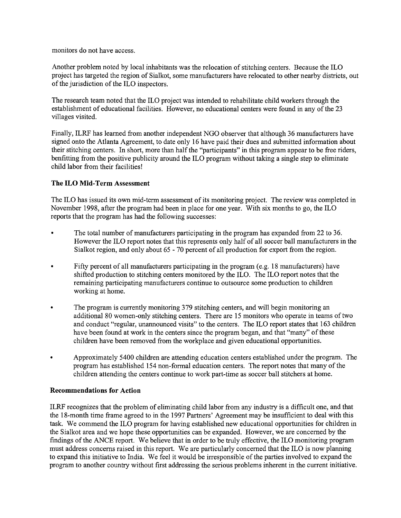monitors do not have access.

Another problem noted by local inhabitants was the relocation of stitching centers. Because the ILO project has targeted the region of Sialkot, some manufacturers have relocated to other nearby districts, out of the jurisdiction of the ILO inspectors.

The research team noted that the ILO project was intended to rehabilitate child workers through the establishment of educational facilities. However, no educational centers were found in any of the 23 villages visited.

Finally, ILRF has learned from another independent NGO observer that although 36 manufacturers have signed onto the Atlanta Agreement, to date only 16 have paid their dues and submitted information about their stitching centers. In short, more than half the "participants" in this program appear to be free riders, benfitting from the positive publicity around the ILO program without taking a single step to eliminate child labor from their facilities!

## **The ILO Mid-Term** Assessment

The ILO has issued its own mid-term assessment of its monitoring project. The review was completed in November 1998, after the program had been in place for one year. With six months to go, the ILO reports that the program has had the following successes:

- The total number of manufacturers participating in the program has expanded from 22 to 36. However the ILO report notes that this represents only half of all soccer ball manufacturers in the Sialkot region, and only about 65 - 70 percent of all production for export from the region.
- Fifty percent of all manufacturers participating in the program (e.g. 18 manufacturers) have shifted production to stitching centers monitored by the ILO. The ILO report notes that the remaining participating manufacturers continue to outsource some production to children working at home.
- The program is currently monitoring 379 stitching centers, and will begin monitoring an additional 80 women-only stitching centers. There are 15 monitors who operate in teams of two and conduct "regular, unannounced visits" to the centers. The ILO report states that 163 children have been found at work in the centers since the program began, and that "many" of these children have been removed from the workplace and given educational opportunities.
- Approximately 5400 children are attending education centers established under the program. The program has established 154 non-formal education centers. The report notes that many of the children attending the centers continue to work part-time as soccer ball stitchers at home.

## **Recommendations for Action**

ILRF recognizes that the problem of eliminating child labor from any industry is a difficult one, and that the 18-month time frame agreed to in the 1997 Partners' Agreement may be insufficient to deal with this task. We commend the ILO program for having established new educational opportunities for children in the Sialkot area and we hope these opportunities can be expanded. However, we are concerned by the findings of the ANCE report. We believe that in order to be truly effective, the ILO monitoring program must address concerns raised in this report. Weare particularly concerned that the ILO is now planning to expand this initiative to India. We feel it would be irresponsible of the parties involved to expand the program to another country without first addressing the serious problems inherent in the current initiative.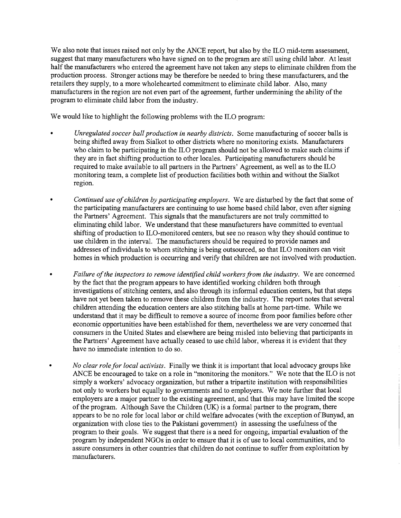We also note that issues raised not only by the ANCE report, but also by the ILO mid-term assessment, suggest that many manufacturers who have signed on to the program are still using child labor. At least half the manufacturers who entered the agreement have not taken any steps to eliminate children from the production process. Stronger actions may be therefore be needed to bring these manufacturers, and the retailers they supply, to a more wholehearted commitment to eliminate child labor. Also, many manufacturers in the region are not even part of the agreement, further undermining the ability of the program to eliminate child labor from the industry.

We would like to highlight the following problems with the ILO program:

- *Unregulated soccer ball production in nearby districts.* Some manufacturing of soccer balls is being shifted away from Sialkot to other districts where no monitoring exists. Manufacturers who claim to be participating in the ILO program should not be allowed to make such claims if they are in fact shifting production to other locales. Participating manufacturers should be required to make available to all partners in the Partners' Agreement, as well as to the ILO monitoring team, a complete list of production facilities both within and without the Sialkot region.
- *Continued use of children by participating employers.* We are disturbed by the fact that some of the participating manufacturers are continuing to use home based child labor, even after signing the Partners' Agreement. This signals that the manufacturers are not truly committed to eliminating child labor. We understand that these manufacturers have committed to eventual shifting of production to ILO-monitored centers, but see no reason why they should continue to use children in the interval. The manufacturers should be required to provide names and addresses of individuals to whom stitching is being outsourced, so that ILO monitors can visit homes in which production is occurring and verify that children are not involved with production.
- *Failure of the inspectors to remove identified child workers from the industry.* We are concerned by the fact that the program appears to have identified working children both through investigations of stitching centers, and also through its informal education centers, but that steps have not yet been taken to remove these children from the industry. The report notes that several children attending the education centers are also stitching balls at home part-time. While we understand that it may be difficult to remove a source of income from poor families before other economic opportunities have been established for them, nevertheless we are very concerned that consumers in the United States and elsewhere are being misled into believing that participants in the Partners' Agreement have actually ceased to use child labor, whereas it is evident that they have no immediate intention to do so.
- *• No clear role for local activists.* Finally we think it is important that local advocacy groups like ANCE be encouraged to take on a role in "monitoring the monitors." We note that the ILO is not simply a workers' advocacy organization, but rather a tripartite institution with responsibilities not only to workers but equally to governments and to employers. We note further that local employers are a major partner to the existing agreement, and that this may have limited the scope of the program. Although Save the Children (UK) is a formal partner to the program, there appears to be no role for local labor or child welfare advocates (with the exception of Bunyad, an organization with close ties to the Pakistani government) in assessing the usefulness of the program to their goals. We suggest that there is a need for ongoing, impartial evaluation of the program by independent NGOs in order to ensure that it is of use to local communities, and to assure consumers in other countries that children do not continue to suffer from exploitation by manufacturers.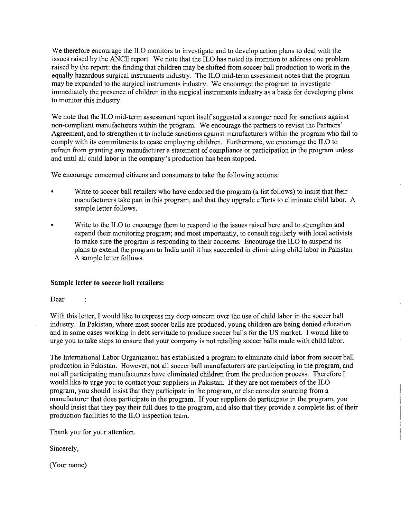We therefore encourage the ILO monitors to investigate and to develop action plans to deal with the issues raised by the ANCE report. We note that the ILO has noted its intention to address one problem raised by the report: the finding that children may be shifted from soccer ball production to work in the equally hazardous surgical instruments industry. The ILO mid-term assessment notes that the program may be expanded to the surgical instruments industry. We encourage the program to investigate immediately the presence of children in the surgical instruments industry as a basis for developing plans to monitor this industry.

We note that the ILO mid-term assessment report itself suggested a stronger need for sanctions against non-compliant manufacturers within the program. We encourage the partners to revisit the Partners' Agreement, and to strengthen it to include sanctions against manufacturers within the program who fail to comply with its commitments to cease employing children. Furthermore, we encourage the ILO to refrain from granting any manufacturer a statement of compliance or participation in the program unless and until all child labor in the company's production has been stopped.

We encourage concerned citizens and consumers to take the following actions:

- Write to soccer ball retailers who have endorsed the program (a list follows) to insist that their manufacturers take part in this program, and that they upgrade efforts to eliminate child labor. A sample letter follows.
- Write to the ILO to encourage them to respond to the issues raised here and to strengthen and expand their monitoring program; and most importantly, to consult regularly with local activists to make sure the program is responding to their concerns. Encourage the ILO to suspend its plans to extend the program to India until it has succeeded in eliminating child labor in Pakistan. A sample letter follows.

## **Sample letter to soccer ball retailers:**

Dear

 $\overline{1}$ 

With this letter, I would like to express my deep concern over the use of child labor in the soccer ball industry. In Pakistan, where most soccer balls are produced, young children are being denied education and in some cases working in debt servitude to produce soccer balls for the US market. I would like to urge you to take steps to ensure that your company is not retailing soccer balls made with child labor.

The International Labor Organization has established a program to eliminate child labor from soccer ball production in Pakistan. However, not all soccer ball manufacturers are participating in the program, and not all participating manufacturers have eliminated children from the production process. Therefore I would like to urge you to contact your suppliers in Pakistan. If they are not members of the ILO program, you should insist that they participate in the program, or else consider sourcing from a manufacturer that does participate in the program. If your suppliers do participate in the program, you should insist that they pay their full dues to the program, and also that they provide a complete list of their production facilities to the ILO inspection team.

Thank you for your attention.

Sincerely,

(Your name)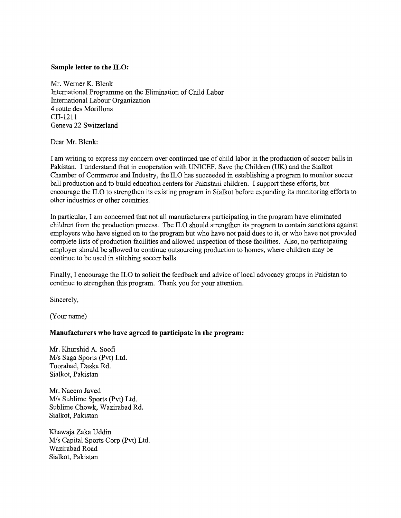### **Sample letter to the ILO:**

Mr. Werner K. Blenk International Programme on the Elimination of Child Labor International Labour Organization 4 route des Morillons CH-1211 Geneva 22 Switzerland

Dear Mr. Blenk:

I am writing to express my concern over continued use of child labor in the production of soccer balls in Pakistan. I understand that in cooperation with UNICEF, Save the Children (UK) and the Sialkot Chamber of Commerce and Industry, the ILO has succeeded in establishing a program to monitor soccer ball production and to build education centers for Pakistani children. I support these efforts, but encourage the ILO to strengthen its existing program in Sialkot before expanding its monitoring efforts to other industries or other countries.

In particular, I am concerned that not all manufacturers participating in the program have eliminated children from the production process. The ILO should strengthen its program to contain sanctions against employers who have signed on to the program but who have not paid dues to it, or who have not provided complete lists of production facilities and allowed inspection of those facilities. Also, no participating employer should be allowed to continue outsourcing production to homes, where children may be continue to be used in stitching soccer balls.

Finally, I encourage the ILO to solicit the feedback and advice of local advocacy groups in Pakistan to continue to strengthen this program. Thank you for your attention.

Sincerely,

(Your name)

## **Manufacturers who have agreed to participate in the program:**

Mr. Khurshid A. Soofi *MIs* Saga Sports (Pvt) Ltd. Toorabad, Daska Rd. Sialkot, Pakistan

Mr. Naeem Javed *MIs* Sublime Sports (Pvt) Ltd. Sublime Chowk, Wazirabad Rd. Sialkot, Pakistan

Khawaja Zaka Uddin *MIs* Capital Sports Corp (Pvt) Ltd. Wazirabad Road Sialkot, Pakistan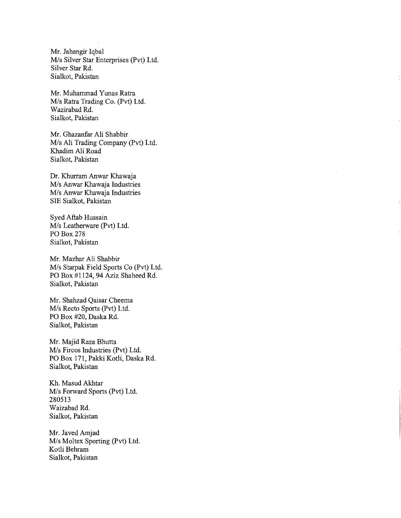Mr. Jahangir Iqbal *Mis* Silver Star Enterprises (Pvt) Ltd. Silver Star Rd. Sialkot, Pakistan

Mr. Muhammad Yunas Ratra *Mis* Ratra Trading Co. (Pvt) Ltd. Wazirabad Rd. Sialkot, Pakistan

Mr. Ghazanfar Ali Shabbir *Mis* Ali Trading Company (Pvt) Ltd. Khadim Ali Road Sialkot, Pakistan

Dr. Khurram Anwar Khawaja *Mis* Anwar Khawaja Industries *Mis* Anwar Khawaja Industries SIE Sialkot, Pakistan

Syed Aftab Hussain *Mis* Leatherware (Pvt) Ltd. PO Box 278 Sia1kot, Pakistan

Mr. Mazhar Ali Shabbir *Mis* Starpak Field Sports Co (Pvt) Ltd. PO Box #1124,94 Aziz Shaheed Rd. Sialkot, Pakistan

Mr. Shahzad Qaisar Cheema *Mis* Recto Sports (Pvt) Ltd. PO Box #20, Daska Rd. Sialkot, Pakistan

Mr. Majid Raza Bhutta *Mis* Fircos Industries (pvt) Ltd. PO Box 171, Pakki Kotli, Daska Rd. Sialkot, Pakistan

Kh. Masud Akhtar *Mis* Forward Sports (Pvt) Ltd. 280513 Waizabad Rd. Sialkot, Pakistan

Mr. Javed Amjad *Mis* Moltex Sporting (Pvt) Ltd. Kotli Behram Sialkot, Pakistan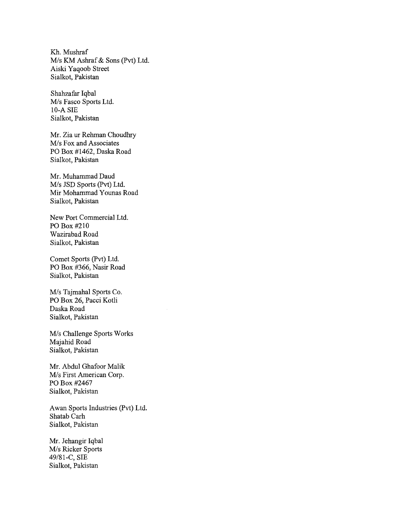Kh. Mushraf *Mis* KM Ashraf & Sons (Pvt) Ltd. Aiski Yaqoob Street Sialkot, Pakistan

Shahzafar Iqbal *Mis* Fasco Sports Ltd. 10-A SIB Sialkot, Pakistan

Mr. Zia ur Rehman Choudhry *Mis* Fox and Associates PO Box #1462, Daska Road Sialkot, Pakistan

Mr. Muhammad Daud *Mis* JSD Sports (pvt) Ltd. Mir Mohammad Younas Road Sialkot, Pakistan

New Port Commercial Ltd. PO Box #210 Wazirabad Road Sialkot, Pakistan

Comet Sports (pvt) Ltd. PO Box #366, Nasir Road Sialkot, Pakistan

*Mis* Tajmahal Sports Co. PO Box 26, Pacci Kotli Daska Road Sialkot, Pakistan

*Mis* Challenge Sports Works Majahid Road Sialkot, Pakistan

Mr. Abdul Ghafoor Malik *Mis* First American Corp. PO Box #2467 Sialkot, Pakistan

Awan Sports Industries (Pvt) Ltd. Shatab Carh Sialkot, Pakistan

Mr. Jehangir Iqbal *Mis* Ricker Sports 49/81-C, SIB Sialkot, Pakistan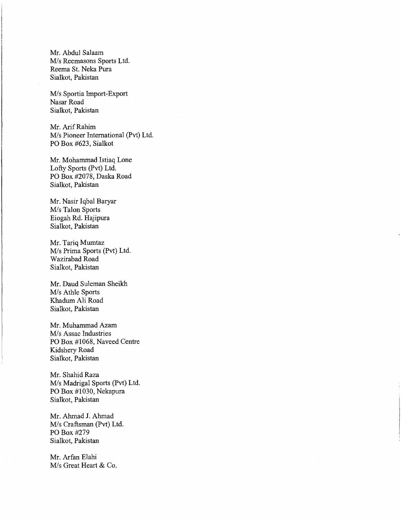Mr. Abdul Salaam *Mis* Reemasons Sports Ltd. Reema St. Neka Pura Sialkot, Pakistan

*Mis* Sportia Import-Export Nasar Road Sialkot, Pakistan

Mr. Arif Rahim *Mis* Pioneer International (Pvt) Ltd. PO Box #623, Sialkot

Mr. Mohammad Istiaq Lone Lofty Sports (Pvt) Ltd. PO Box #2078, Daska Road Sialkot, Pakistan

Mr. Nasir Iqbal Baryar *Mis* Talon Sports Eiogah Rd. Hajipura Sialkot, Pakistan

Mr. Tariq Mumtaz *Mis* Prima Sports (Pvt) Ltd. Wazirabad Road Sialkot, Pakistan

Mr. Daud Suleman Sheikh *Mis* AthIe Sports Khadum Ali Road Sialkot, Pakistan

Mr. Muhammad Azam *Mis* Assac Industries PO Box #1068, Naveed Centre Kidshery Road Sialkot, Pakistan

Mr. Shahid Raza *Mis* Madrigal Sports (Pvt) Ltd. PO Box #1030, Nekapura Sialkot, Pakistan

Mr. Ahmad J. Ahmad *Mis* Craftsman (Pvt) Ltd. PO Box #279 Sialkot, Pakistan

Mr. Arfan Elahi *Mis* Great Heart & Co.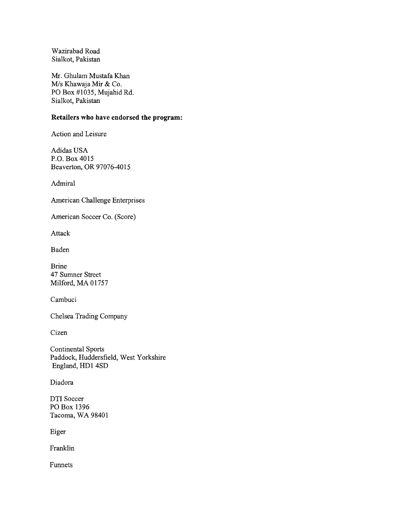Wazirabad Road Sialkot, Pakistan

Mr. Ghulam Mustafa Khan *MIs* Khawaja Mir & Co. PO Box #1035, Mujahid Rd. Sialkot, Pakistan

## **Retailers who have endorsed the program:**

Action and Leisure

Adidas USA P.O. Box 4015 Beaverton, OR 97076-4015

Admiral

American Challenge Enterprises

American Soccer Co. (Score)

Attack

Baden

Brine 47 Sumner Street Milford, MA 01757

Cambuci

Chelsea Trading Company

Cizen

Continental Sports Paddock, Huddersfield, West Yorkshire England, HD1 4SD

Diadora

DTI Soccer PO Box 1396 Tacoma, WA 98401

Eiger

Franklin

Funnets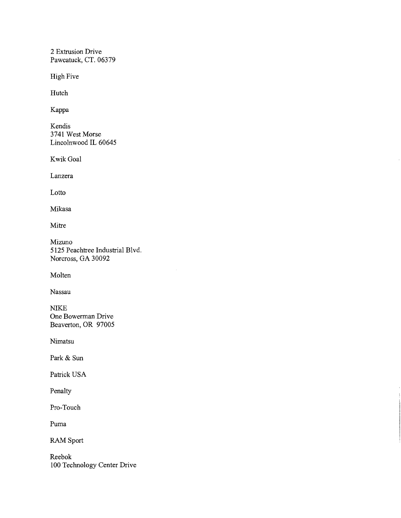2 Extrusion Drive Pawcatuck, CT. 06379

High Five

Hutch

Kappa

Kendis 3741 West Morse Lincolnwood **IL** 60645

KwikGoal

Lanzera

Lotto

Mikasa

Mitre

Mizuno 5125 Peachtree Industrial Blvd. Norcross, GA 30092

Molten

Nassau

NIKE One Bowerman Drive Beaverton, OR 97005

Nimatsu

Park & Sun

Patrick USA

Penalty

Pro-Touch

Puma

RAM Sport

Reebok 100 Technology Center Drive